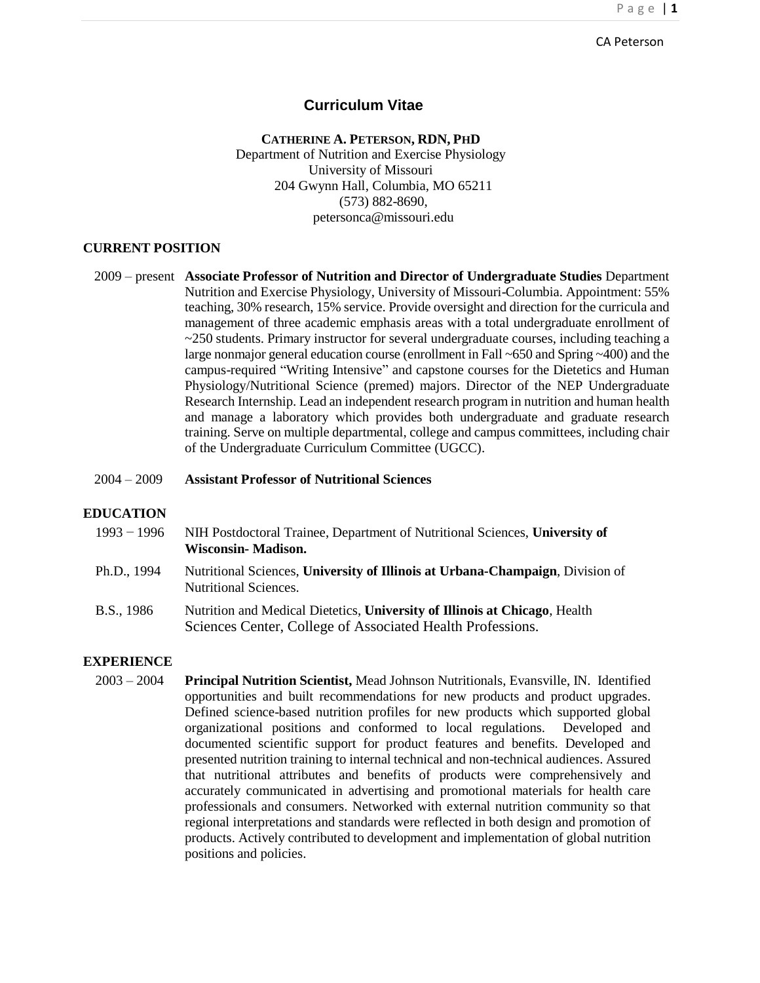#### CA Peterson

## **Curriculum Vitae**

#### **CATHERINE A. PETERSON, RDN, PHD**

Department of Nutrition and Exercise Physiology University of Missouri 204 Gwynn Hall, Columbia, MO 65211 (573) 882[-8690,](mailto:petersonca@missouri.edu)  [petersonca@missouri.edu](mailto:petersonca@missouri.edu)

## **CURRENT POSITION**

2009 – present **Associate Professor of Nutrition and Director of Undergraduate Studies** Department Nutrition and Exercise Physiology, University of Missouri-Columbia. Appointment: 55% teaching, 30% research, 15% service. Provide oversight and direction for the curricula and management of three academic emphasis areas with a total undergraduate enrollment of  $\sim$  250 students. Primary instructor for several undergraduate courses, including teaching a large nonmajor general education course (enrollment in Fall ~650 and Spring ~400) and the campus-required "Writing Intensive" and capstone courses for the Dietetics and Human Physiology/Nutritional Science (premed) majors. Director of the NEP Undergraduate Research Internship. Lead an independent research program in nutrition and human health and manage a laboratory which provides both undergraduate and graduate research training. Serve on multiple departmental, college and campus committees, including chair of the Undergraduate Curriculum Committee (UGCC).

## 2004 – 2009 **Assistant Professor of Nutritional Sciences**

#### **EDUCATION**

- 1993 − 1996 NIH Postdoctoral Trainee, Department of Nutritional Sciences, **University of Wisconsin- Madison.**
- Ph.D., 1994 Nutritional Sciences, **University of Illinois at Urbana-Champaign**, Division of Nutritional Sciences.
- B.S., 1986 Nutrition and Medical Dietetics, **University of Illinois at Chicago**, Health Sciences Center, College of Associated Health Professions.

#### **EXPERIENCE**

2003 – 2004 **Principal Nutrition Scientist,** Mead Johnson Nutritionals, Evansville, IN. Identified opportunities and built recommendations for new products and product upgrades. Defined science-based nutrition profiles for new products which supported global organizational positions and conformed to local regulations. Developed and documented scientific support for product features and benefits. Developed and presented nutrition training to internal technical and non-technical audiences. Assured that nutritional attributes and benefits of products were comprehensively and accurately communicated in advertising and promotional materials for health care professionals and consumers. Networked with external nutrition community so that regional interpretations and standards were reflected in both design and promotion of products. Actively contributed to development and implementation of global nutrition positions and policies.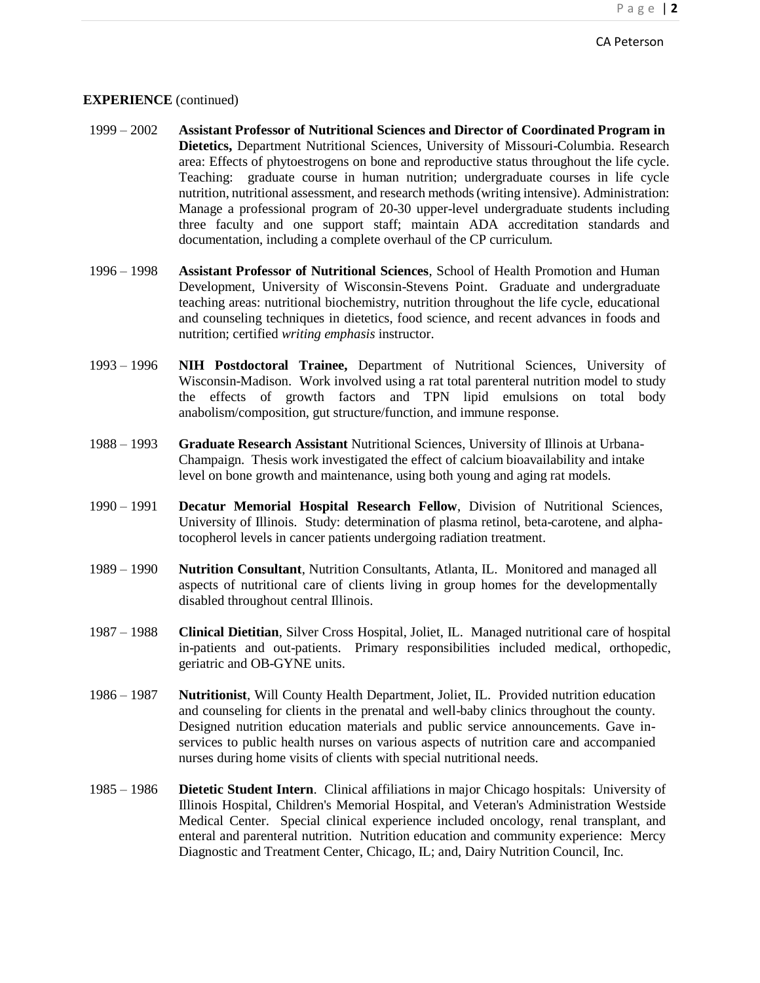#### **EXPERIENCE** (continued)

- 1999 2002 **Assistant Professor of Nutritional Sciences and Director of Coordinated Program in Dietetics,** Department Nutritional Sciences, University of Missouri-Columbia. Research area: Effects of phytoestrogens on bone and reproductive status throughout the life cycle. Teaching: graduate course in human nutrition; undergraduate courses in life cycle nutrition, nutritional assessment, and research methods(writing intensive). Administration: Manage a professional program of 20-30 upper-level undergraduate students including three faculty and one support staff; maintain ADA accreditation standards and documentation, including a complete overhaul of the CP curriculum.
- 1996 1998 **Assistant Professor of Nutritional Sciences**, School of Health Promotion and Human Development, University of Wisconsin-Stevens Point. Graduate and undergraduate teaching areas: nutritional biochemistry, nutrition throughout the life cycle, educational and counseling techniques in dietetics, food science, and recent advances in foods and nutrition; certified *writing emphasis* instructor.
- 1993 1996 **NIH Postdoctoral Trainee,** Department of Nutritional Sciences, University of Wisconsin-Madison. Work involved using a rat total parenteral nutrition model to study the effects of growth factors and TPN lipid emulsions on total body anabolism/composition, gut structure/function, and immune response.
- 1988 1993 **Graduate Research Assistant** Nutritional Sciences, University of Illinois at Urbana-Champaign. Thesis work investigated the effect of calcium bioavailability and intake level on bone growth and maintenance, using both young and aging rat models.
- 1990 1991 **Decatur Memorial Hospital Research Fellow**, Division of Nutritional Sciences, University of Illinois. Study: determination of plasma retinol, beta-carotene, and alphatocopherol levels in cancer patients undergoing radiation treatment.
- 1989 1990 **Nutrition Consultant**, Nutrition Consultants, Atlanta, IL. Monitored and managed all aspects of nutritional care of clients living in group homes for the developmentally disabled throughout central Illinois.
- 1987 1988 **Clinical Dietitian**, Silver Cross Hospital, Joliet, IL. Managed nutritional care of hospital in-patients and out-patients. Primary responsibilities included medical, orthopedic, geriatric and OB-GYNE units.
- 1986 1987 **Nutritionist**, Will County Health Department, Joliet, IL. Provided nutrition education and counseling for clients in the prenatal and well-baby clinics throughout the county. Designed nutrition education materials and public service announcements. Gave inservices to public health nurses on various aspects of nutrition care and accompanied nurses during home visits of clients with special nutritional needs.
- 1985 1986 **Dietetic Student Intern**. Clinical affiliations in major Chicago hospitals: University of Illinois Hospital, Children's Memorial Hospital, and Veteran's Administration Westside Medical Center. Special clinical experience included oncology, renal transplant, and enteral and parenteral nutrition. Nutrition education and community experience: Mercy Diagnostic and Treatment Center, Chicago, IL; and, Dairy Nutrition Council, Inc.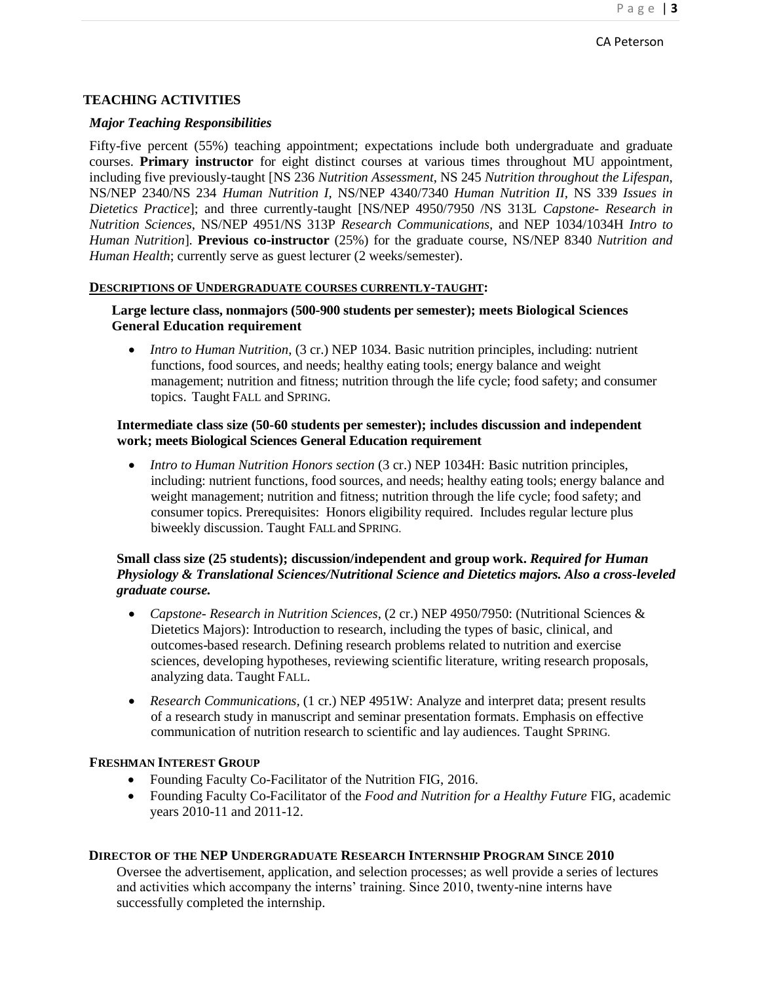## **TEACHING ACTIVITIES**

#### *Major Teaching Responsibilities*

Fifty-five percent (55%) teaching appointment; expectations include both undergraduate and graduate courses. **Primary instructor** for eight distinct courses at various times throughout MU appointment, including five previously-taught [NS 236 *Nutrition Assessment*, NS 245 *Nutrition throughout the Lifespan*, NS/NEP 2340/NS 234 *Human Nutrition I,* NS/NEP 4340/7340 *Human Nutrition II,* NS 339 *Issues in Dietetics Practice*]; and three currently-taught [NS/NEP 4950/7950 /NS 313L *Capstone- Research in Nutrition Sciences*, NS/NEP 4951/NS 313P *Research Communications,* and NEP 1034/1034H *Intro to Human Nutrition*]*.* **Previous co-instructor** (25%) for the graduate course, NS/NEP 8340 *Nutrition and Human Health*; currently serve as guest lecturer (2 weeks/semester).

#### **DESCRIPTIONS OF UNDERGRADUATE COURSES CURRENTLY-TAUGHT:**

## **Large lecture class, nonmajors (500-900 students per semester); meets Biological Sciences General Education requirement**

• *Intro to Human Nutrition*, (3 cr.) NEP 1034. Basic nutrition principles, including: nutrient functions, food sources, and needs; healthy eating tools; energy balance and weight management; nutrition and fitness; nutrition through the life cycle; food safety; and consumer topics. Taught FALL and SPRING.

## **Intermediate class size (50-60 students per semester); includes discussion and independent work; meets Biological Sciences General Education requirement**

• *Intro to Human Nutrition Honors section* (3 cr.) NEP 1034H: Basic nutrition principles, including: nutrient functions, food sources, and needs; healthy eating tools; energy balance and weight management; nutrition and fitness; nutrition through the life cycle; food safety; and consumer topics. Prerequisites: Honors eligibility required. Includes regular lecture plus biweekly discussion. Taught FALLand SPRING.

## **Small class size (25 students); discussion/independent and group work.** *Required for Human Physiology & Translational Sciences/Nutritional Science and Dietetics majors. Also a cross-leveled graduate course.*

- *Capstone- Research in Nutrition Sciences*, (2 cr.) NEP 4950/7950: (Nutritional Sciences & Dietetics Majors): Introduction to research, including the types of basic, clinical, and outcomes-based research. Defining research problems related to nutrition and exercise sciences, developing hypotheses, reviewing scientific literature, writing research proposals, analyzing data. Taught FALL.
- *Research Communications,* (1 cr.) NEP 4951W: Analyze and interpret data; present results of a research study in manuscript and seminar presentation formats. Emphasis on effective communication of nutrition research to scientific and lay audiences. Taught SPRING.

#### **FRESHMAN INTEREST GROUP**

- Founding Faculty Co-Facilitator of the Nutrition FIG, 2016.
- Founding Faculty Co-Facilitator of the *Food and Nutrition for a Healthy Future* FIG, academic years 2010-11 and 2011-12.

#### **DIRECTOR OF THE NEP UNDERGRADUATE RESEARCH INTERNSHIP PROGRAM SINCE 2010**

Oversee the advertisement, application, and selection processes; as well provide a series of lectures and activities which accompany the interns' training. Since 2010, twenty-nine interns have successfully completed the internship.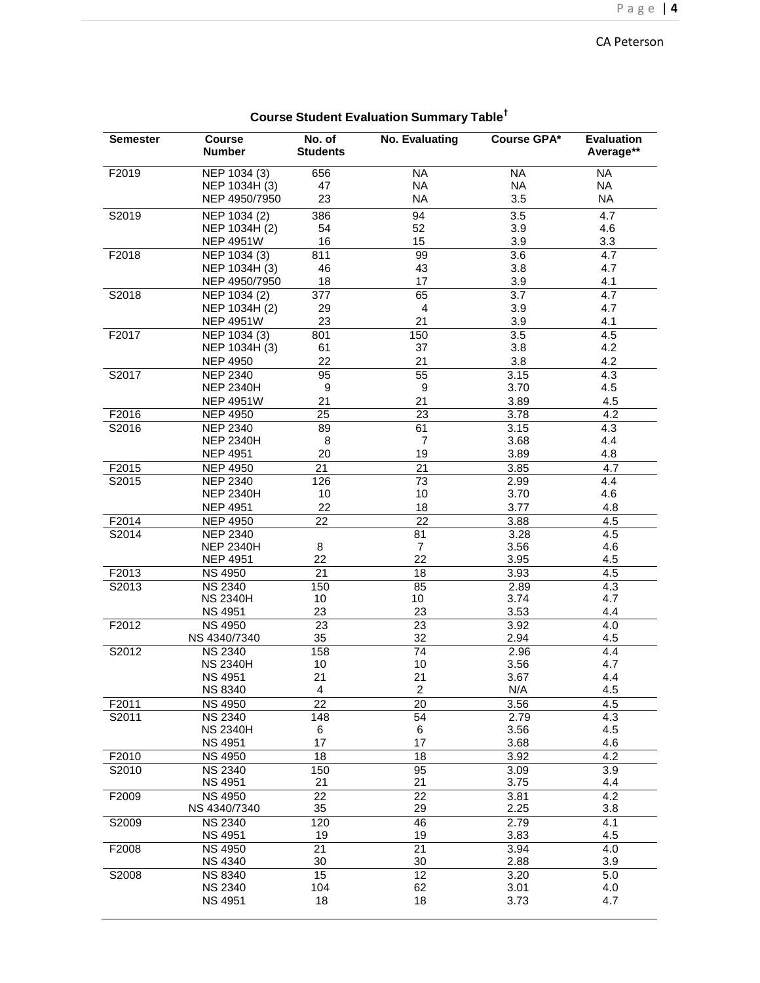## CA Peterson

| <b>Semester</b>   | <b>Course</b>                                     | No. of                  | <b>No. Evaluating</b> | <b>Course GPA*</b> | <b>Evaluation</b>       |
|-------------------|---------------------------------------------------|-------------------------|-----------------------|--------------------|-------------------------|
|                   | <b>Number</b>                                     | <b>Students</b>         |                       |                    | Average**               |
| F2019             | NEP 1034 (3)                                      | 656                     | <b>NA</b>             | <b>NA</b>          | <b>NA</b>               |
|                   | NEP 1034H (3)                                     | 47                      | <b>NA</b>             | <b>NA</b>          | <b>NA</b>               |
|                   | NEP 4950/7950                                     | 23                      | <b>NA</b>             | 3.5                | <b>NA</b>               |
| S2019             | NEP 1034 (2)                                      | 386                     | 94                    | 3.5                | 4.7                     |
|                   | NEP 1034H (2)                                     | 54                      | 52                    | 3.9                | 4.6                     |
|                   | <b>NEP 4951W</b>                                  | 16                      | 15                    | 3.9                | 3.3                     |
| F2018             | NEP 1034 (3)                                      | 811                     | 99                    | 3.6                | 4.7                     |
|                   | NEP 1034H (3)                                     | 46                      | 43                    | 3.8                | 4.7                     |
|                   | NEP 4950/7950                                     | 18                      | 17                    | 3.9                | 4.1                     |
| S2018             | NEP 1034 (2)                                      | 377                     | 65                    | 3.7                | 4.7                     |
|                   | NEP 1034H (2)                                     | 29                      | 4                     | 3.9                | 4.7                     |
|                   | <b>NEP 4951W</b>                                  | 23                      | 21                    | 3.9                | 4.1                     |
| F2017             | $\overline{\text{NEP}}$ 1034 (3)<br>NEP 1034H (3) | 801<br>61               | 150<br>37             | 3.5<br>3.8         | 4.5<br>4.2              |
|                   | <b>NEP 4950</b>                                   | 22                      | 21                    | 3.8                | 4.2                     |
| S2017             | <b>NEP 2340</b>                                   | 95                      | 55                    | 3.15               | 4.3                     |
|                   | <b>NEP 2340H</b>                                  | 9                       | 9                     | 3.70               | 4.5                     |
|                   | <b>NEP 4951W</b>                                  | 21                      | 21                    | 3.89               | 4.5                     |
| F2016             | <b>NEP 4950</b>                                   | $\overline{25}$         | 23                    | 3.78               | $\overline{4.2}$        |
| S2016             | <b>NEP 2340</b>                                   | 89                      | 61                    | 3.15               | 4.3                     |
|                   | <b>NEP 2340H</b>                                  | 8                       | 7                     | 3.68               | 4.4                     |
|                   | <b>NEP 4951</b>                                   | 20                      | 19                    | 3.89               | 4.8                     |
| F2015             | <b>NEP 4950</b>                                   | $\overline{21}$         | $\overline{21}$       | 3.85               | 4.7                     |
| S2015             | <b>NEP 2340</b>                                   | 126                     | 73                    | 2.99               | 4.4                     |
|                   | <b>NEP 2340H</b>                                  | 10                      | 10                    | 3.70               | 4.6                     |
|                   | <b>NEP 4951</b>                                   | 22                      | 18                    | 3.77               | 4.8                     |
| F2014             | <b>NEP 4950</b>                                   | 22                      | $\overline{22}$       | 3.88               | 4.5                     |
| S2014             | <b>NEP 2340</b>                                   |                         | 81                    | 3.28               | 4.5                     |
|                   | <b>NEP 2340H</b>                                  | 8                       | $\overline{7}$        | 3.56               | 4.6                     |
|                   | <b>NEP 4951</b>                                   | 22                      | 22                    | 3.95               | 4.5                     |
| F2013             | <b>NS 4950</b>                                    | $\overline{21}$         | $\overline{18}$       | 3.93               | 4.5                     |
| S2013             | <b>NS 2340</b>                                    | 150                     | 85                    | 2.89               | 4.3                     |
|                   | <b>NS 2340H</b>                                   | 10                      | 10                    | 3.74               | 4.7                     |
|                   | <b>NS 4951</b>                                    | 23                      | 23                    | 3.53               | 4.4                     |
| F2012             | <b>NS 4950</b>                                    | 23                      | 23                    | 3.92               | 4.0                     |
|                   | NS 4340/7340                                      | 35                      | 32                    | 2.94               | 4.5                     |
| S2012             | <b>NS 2340</b>                                    | 158                     | 74                    | 2.96               | 4.4                     |
|                   | <b>NS 2340H</b>                                   | 10                      | 10                    | 3.56               | 4.7                     |
|                   | <b>NS 4951</b>                                    | 21                      | 21                    | 3.67               | 4.4                     |
|                   | <b>NS 8340</b>                                    | $\overline{\mathbf{4}}$ | $\overline{c}$        | N/A                | 4.5                     |
| F <sub>2011</sub> | <b>NS 4950</b>                                    | 22                      | 20                    | 3.56               | 4.5                     |
| S2011             | <b>NS 2340</b>                                    | 148                     | 54                    | 2.79               | 4.3                     |
|                   | <b>NS 2340H</b>                                   | 6                       | 6                     | 3.56               | 4.5                     |
|                   | <b>NS 4951</b>                                    | 17                      | 17                    | 3.68               | 4.6                     |
| F2010             | <b>NS 4950</b>                                    | 18                      | 18                    | 3.92               | 4.2                     |
| S2010             | <b>NS 2340</b>                                    | 150                     | 95                    | 3.09               | 3.9                     |
| F2009             | <b>NS 4951</b><br><b>NS 4950</b>                  | 21<br>$\overline{22}$   | 21<br>$\overline{22}$ | 3.75<br>3.81       | 4.4<br>$\overline{4.2}$ |
|                   | NS 4340/7340                                      | 35                      | 29                    | 2.25               | 3.8                     |
| S2009             | <b>NS 2340</b>                                    | 120                     | 46                    | 2.79               | 4.1                     |
|                   | <b>NS 4951</b>                                    | 19                      | 19                    | 3.83               | 4.5                     |
| F2008             | <b>NS 4950</b>                                    | 21                      | 21                    | 3.94               | 4.0                     |
|                   | <b>NS 4340</b>                                    | 30                      | 30                    | 2.88               | 3.9                     |
| S2008             | <b>NS 8340</b>                                    | 15                      | 12                    | 3.20               | 5.0                     |
|                   | <b>NS 2340</b>                                    | 104                     | 62                    | 3.01               | 4.0                     |
|                   | <b>NS 4951</b>                                    | 18                      | 18                    | 3.73               | 4.7                     |
|                   |                                                   |                         |                       |                    |                         |

## **Course Student Evaluation Summary Table †**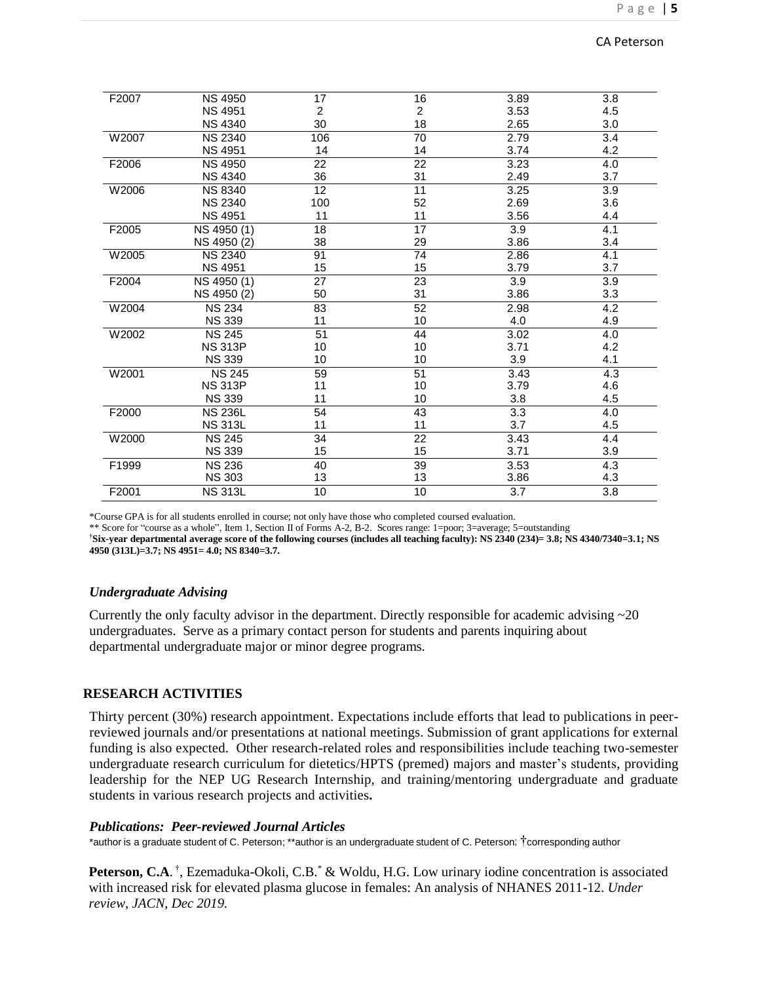| F2007 | <b>NS 4950</b> | 17             | 16 | 3.89 | 3.8              |
|-------|----------------|----------------|----|------|------------------|
|       | <b>NS 4951</b> | $\overline{c}$ | 2  | 3.53 | 4.5              |
|       | <b>NS 4340</b> | 30             | 18 | 2.65 | 3.0              |
| W2007 | <b>NS 2340</b> | 106            | 70 | 2.79 | 3.4              |
|       | <b>NS 4951</b> | 14             | 14 | 3.74 | 4.2              |
| F2006 | <b>NS 4950</b> | 22             | 22 | 3.23 | 4.0              |
|       | <b>NS 4340</b> | 36             | 31 | 2.49 | 3.7              |
| W2006 | <b>NS 8340</b> | 12             | 11 | 3.25 | 3.9              |
|       | <b>NS 2340</b> | 100            | 52 | 2.69 | 3.6              |
|       | <b>NS 4951</b> | 11             | 11 | 3.56 | 4.4              |
| F2005 | NS 4950 (1)    | 18             | 17 | 3.9  | 4.1              |
|       | NS 4950 (2)    | 38             | 29 | 3.86 | 3.4              |
| W2005 | <b>NS 2340</b> | 91             | 74 | 2.86 | 4.1              |
|       | <b>NS 4951</b> | 15             | 15 | 3.79 | 3.7              |
| F2004 | NS 4950 (1)    | 27             | 23 | 3.9  | 3.9              |
|       | NS 4950 (2)    | 50             | 31 | 3.86 | 3.3              |
| W2004 | <b>NS 234</b>  | 83             | 52 | 2.98 | 4.2              |
|       | <b>NS 339</b>  | 11             | 10 | 4.0  | 4.9              |
| W2002 | <b>NS 245</b>  | 51             | 44 | 3.02 | 4.0              |
|       | <b>NS 313P</b> | 10             | 10 | 3.71 | 4.2              |
|       | <b>NS 339</b>  | 10             | 10 | 3.9  | 4.1              |
| W2001 | <b>NS 245</b>  | 59             | 51 | 3.43 | 4.3              |
|       | <b>NS 313P</b> | 11             | 10 | 3.79 | 4.6              |
|       | <b>NS 339</b>  | 11             | 10 | 3.8  | 4.5              |
| F2000 | <b>NS 236L</b> | 54             | 43 | 3.3  | 4.0              |
|       | <b>NS 313L</b> | 11             | 11 | 3.7  | 4.5              |
| W2000 | <b>NS 245</b>  | 34             | 22 | 3.43 | 4.4              |
|       | <b>NS 339</b>  | 15             | 15 | 3.71 | 3.9              |
| F1999 | <b>NS 236</b>  | 40             | 39 | 3.53 | 4.3              |
|       | <b>NS 303</b>  | 13             | 13 | 3.86 | 4.3              |
| F2001 | <b>NS 313L</b> | 10             | 10 | 3.7  | $\overline{3.8}$ |

\*Course GPA is for all students enrolled in course; not only have those who completed coursed evaluation.

\*\* Score for "course as a whole", Item 1, Section II of Forms A-2, B-2. Scores range: 1=poor; 3=average; 5=outstanding

**† Six-year departmental average score of the following courses (includes all teaching faculty): NS 2340 (234)= 3.8; NS 4340/7340=3.1; NS 4950 (313L)=3.7; NS 4951= 4.0; NS 8340=3.7.**

#### *Undergraduate Advising*

Currently the only faculty advisor in the department. Directly responsible for academic advising  $\sim$ 20 undergraduates. Serve as a primary contact person for students and parents inquiring about departmental undergraduate major or minor degree programs.

#### **RESEARCH ACTIVITIES**

Thirty percent (30%) research appointment. Expectations include efforts that lead to publications in peerreviewed journals and/or presentations at national meetings. Submission of grant applications for external funding is also expected. Other research-related roles and responsibilities include teaching two-semester undergraduate research curriculum for dietetics/HPTS (premed) majors and master's students, providing leadership for the NEP UG Research Internship, and training/mentoring undergraduate and graduate students in various research projects and activities*.*

#### *Publications: Peer-reviewed Journal Articles*

\*author is a graduate student of C. Peterson; \*\*author is an undergraduate student of C. Peterson; †corresponding author

Peterson, C.A.<sup>†</sup>, Ezemaduka-Okoli, C.B.<sup>\*</sup> & Woldu, H.G. Low urinary iodine concentration is associated with increased risk for elevated plasma glucose in females: An analysis of NHANES 2011-12. *Under review, JACN, Dec 2019.*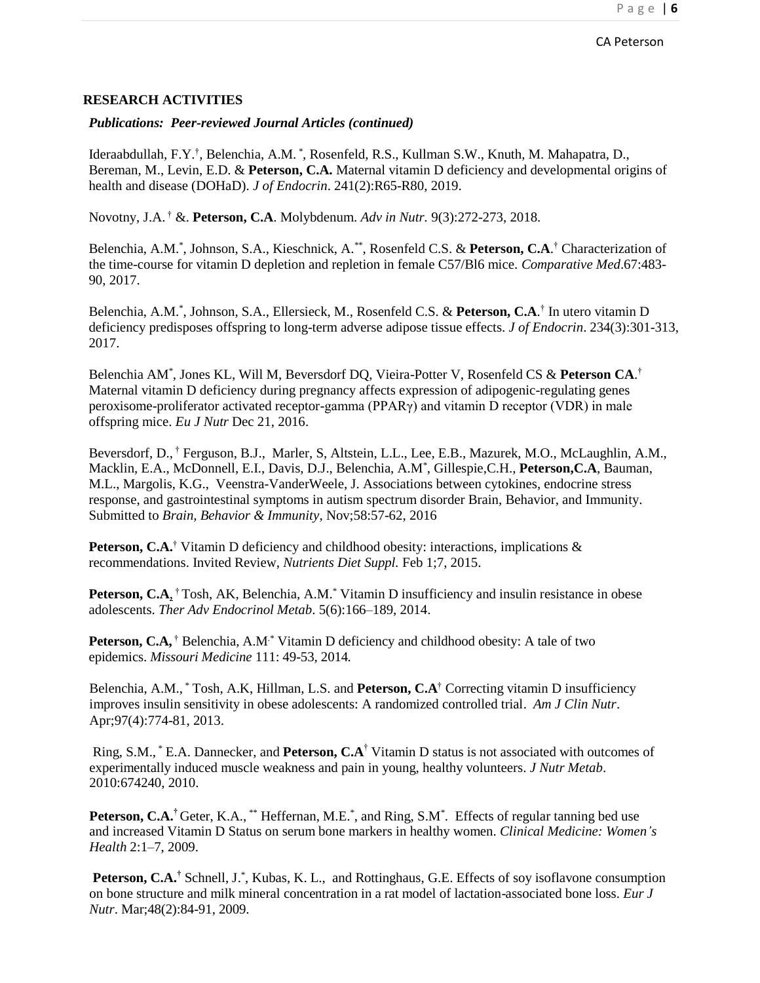*Publications: Peer-reviewed Journal Articles (continued)*

Ideraabdullah, F.Y.<sup>†</sup>, Belenchia, A.M.<sup>\*</sup>, Rosenfeld, R.S., Kullman S.W., Knuth, M. Mahapatra, D., Bereman, M., Levin, E.D. & **Peterson, C.A.** Maternal vitamin D deficiency and developmental origins of health and disease (DOHaD). *J of Endocrin*. 241(2):R65-R80, 2019.

Novotny, J.A. † &. **Peterson, C.A**. Molybdenum. *Adv in Nutr.* 9(3):272-273, 2018.

Belenchia, A.M.\* , Johnson, S.A., Kieschnick, A.\*\* , Rosenfeld C.S. & **Peterson, C.A**. † Characterization of the time-course for vitamin D depletion and repletion in female C57/Bl6 mice. *Comparative Med*.67:483- 90, 2017.

Belenchia, A.M.\* , Johnson, S.A., Ellersieck, M., Rosenfeld C.S. & **Peterson, C.A**. † In utero vitamin D deficiency predisposes offspring to long-term adverse adipose tissue effects. *J of Endocrin*. 234(3):301-313, 2017.

Belenchia AM\* , Jones KL, Will M, Beversdorf DQ, Vieira-Potter V, Rosenfeld CS & **Peterson CA**. † Maternal vitamin D deficiency during pregnancy affects expression of adipogenic-regulating genes peroxisome-proliferator activated receptor-gamma (PPARγ) and vitamin D receptor (VDR) in male offspring mice. *Eu J Nutr* Dec 21, 2016.

Beversdorf, D., † Ferguson, B.J., Marler, S, Altstein, L.L., Lee, E.B., Mazurek, M.O., McLaughlin, A.M., Macklin, E.A., McDonnell, E.I., Davis, D.J., Belenchia, A.M\* , Gillespie,C.H., **Peterson,C.A**, Bauman, M.L., Margolis, K.G., Veenstra-VanderWeele, J. Associations between cytokines, endocrine stress response, and gastrointestinal symptoms in autism spectrum disorder Brain, Behavior, and Immunity. Submitted to *Brain, Behavior & Immunity*, Nov;58:57-62, 2016

**Peterson, C.A.**† Vitamin D deficiency and childhood obesity: interactions, implications & recommendations. Invited Review, *Nutrients Diet Suppl.* Feb 1;7, 2015.

Peterson, C.A<sub>1</sub><sup>†</sup> Tosh, AK, Belenchia, A.M.<sup>\*</sup> Vitamin D insufficiency and insulin resistance in obese adolescents. *Ther Adv Endocrinol Metab*. 5(6):166–189, 2014.

**Peterson, C.A,** † Belenchia, A.M.<sup>\*</sup> Vitamin D deficiency and childhood obesity: A tale of two epidemics. *Missouri Medicine* 111: 49-53, 2014*.*

Belenchia, A.M., \* Tosh, A.K, Hillman, L.S. and **Peterson, C.A**† Correcting vitamin D insufficiency improves insulin sensitivity in obese adolescents: A randomized controlled trial. *Am J Clin Nutr*. Apr;97(4):774-81, 2013.

Ring, S.M., \* E.A. Dannecker, and **Peterson, C.A** † Vitamin D status is not associated with outcomes of experimentally induced muscle weakness and pain in young, healthy volunteers. *J Nutr Metab*. 2010:674240, 2010.

Peterson, C.A.<sup>†</sup> Geter, K.A., \*\* Heffernan, M.E.<sup>\*</sup>, and Ring, S.M<sup>\*</sup>. Effects of regular tanning bed use and increased Vitamin D Status on serum bone markers in healthy women. *Clinical Medicine: Women's Health* 2:1–7, 2009.

Peterson, C.A.<sup>†</sup> Schnell, J.<sup>\*</sup>, Kubas, K. L., and Rottinghaus, G.E. Effects of soy isoflavone consumption on bone structure and milk mineral concentration in a rat model of lactation-associated bone loss. *Eur J Nutr*. Mar;48(2):84-91, 2009.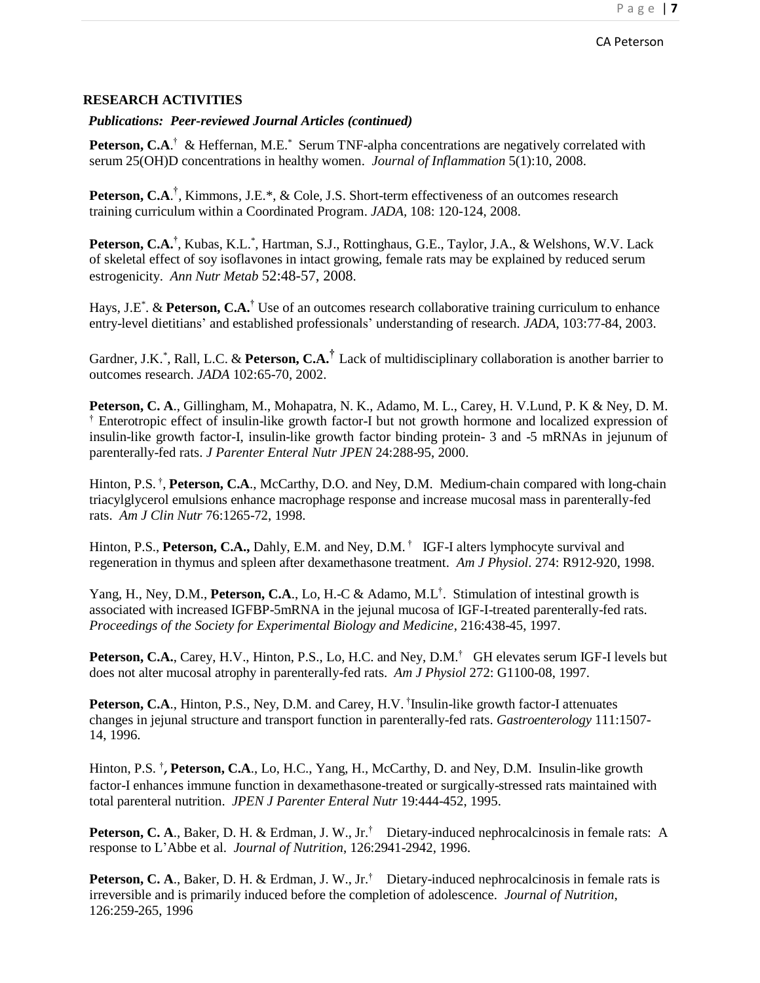### *Publications: Peer-reviewed Journal Articles (continued)*

Peterson, C.A.<sup>†</sup> & Heffernan, M.E.<sup>\*</sup> Serum TNF-alpha concentrations are negatively correlated with serum 25(OH)D concentrations in healthy women. *Journal of Inflammation* 5(1):10, 2008.

Peterson, C.A.<sup>†</sup>, Kimmons, J.E.\*, & Cole, J.S. Short-term effectiveness of an outcomes research training curriculum within a Coordinated Program. *JADA,* 108: 120-124, 2008.

Peterson, C.A.<sup>†</sup>, Kubas, K.L.<sup>\*</sup>, Hartman, S.J., Rottinghaus, G.E., Taylor, J.A., & Welshons, W.V. Lack of skeletal effect of soy isoflavones in intact growing, female rats may be explained by reduced serum estrogenicity. *Ann Nutr Metab* 52:48-57, 2008.

Hays, J.E<sup>\*</sup>. & Peterson, C.A.<sup>†</sup> Use of an outcomes research collaborative training curriculum to enhance entry-level dietitians' and established professionals' understanding of research. *JADA*, 103:77-84, 2003.

Gardner, J.K.<sup>\*</sup>, Rall, L.C. & Peterson, C.A.<sup>†</sup> Lack of multidisciplinary collaboration is another barrier to outcomes research. *JADA* 102:65-70, 2002.

**Peterson, C. A**., Gillingham, M., Mohapatra, N. K., Adamo, M. L., Carey, H. V.Lund, P. K & Ney, D. M. † Enterotropic effect of insulin-like growth factor-I but not growth hormone and localized expression of insulin-like growth factor-I, insulin-like growth factor binding protein- 3 and -5 mRNAs in jejunum of parenterally-fed rats. *J Parenter Enteral Nutr JPEN* 24:288-95, 2000.

Hinton, P.S.<sup>†</sup>, Peterson, C.A., McCarthy, D.O. and Ney, D.M. Medium-chain compared with long-chain triacylglycerol emulsions enhance macrophage response and increase mucosal mass in parenterally-fed rats. *Am J Clin Nutr* 76:1265-72, 1998.

Hinton, P.S., **Peterson, C.A.,** Dahly, E.M. and Ney, D.M. †IGF-I alters lymphocyte survival and regeneration in thymus and spleen after dexamethasone treatment. *Am J Physiol*. 274: R912-920, 1998.

Yang, H., Ney, D.M., **Peterson, C.A**., Lo, H.-C & Adamo, M.L † . Stimulation of intestinal growth is associated with increased IGFBP-5mRNA in the jejunal mucosa of IGF-I-treated parenterally-fed rats. *Proceedings of the Society for Experimental Biology and Medicine*, 216:438-45, 1997.

**Peterson, C.A.**, Carey, H.V., Hinton, P.S., Lo, H.C. and Ney, D.M. †GH elevates serum IGF-I levels but does not alter mucosal atrophy in parenterally-fed rats. *Am J Physiol* 272: G1100-08, 1997.

Peterson, C.A., Hinton, P.S., Ney, D.M. and Carey, H.V. <sup>†</sup>Insulin-like growth factor-I attenuates changes in jejunal structure and transport function in parenterally-fed rats. *Gastroenterology* 111:1507- 14, 1996.

Hinton, P.S.<sup>†</sup>, Peterson, C.A., Lo, H.C., Yang, H., McCarthy, D. and Ney, D.M. Insulin-like growth factor-I enhances immune function in dexamethasone-treated or surgically-stressed rats maintained with total parenteral nutrition. *JPEN J Parenter Enteral Nutr* 19:444-452, 1995.

**Peterson, C. A**., Baker, D. H. & Erdman, J. W., Jr.†Dietary-induced nephrocalcinosis in female rats: A response to L'Abbe et al. *Journal of Nutrition*, 126:2941-2942, 1996.

**Peterson, C. A**., Baker, D. H. & Erdman, J. W., Jr.†Dietary-induced nephrocalcinosis in female rats is irreversible and is primarily induced before the completion of adolescence. *Journal of Nutrition*, 126:259-265, 1996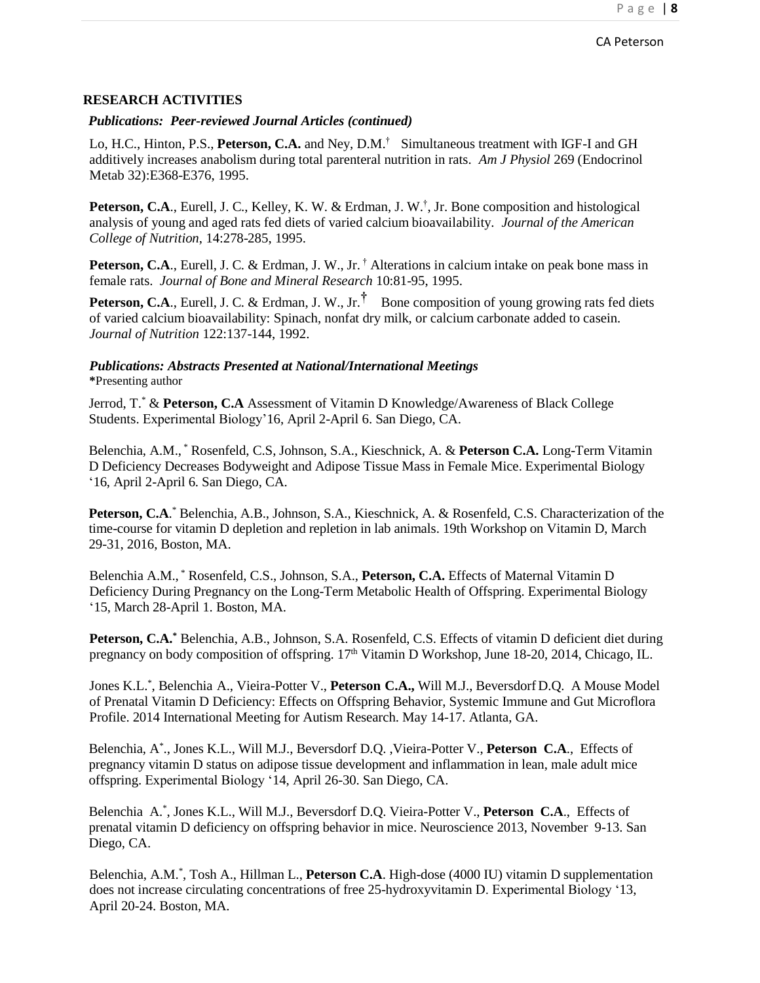#### *Publications: Peer-reviewed Journal Articles (continued)*

Lo, H.C., Hinton, P.S., **Peterson, C.A.** and Ney, D.M. †Simultaneous treatment with IGF-I and GH additively increases anabolism during total parenteral nutrition in rats. *Am J Physiol* 269 (Endocrinol Metab 32):E368-E376, 1995.

Peterson, C.A., Eurell, J. C., Kelley, K. W. & Erdman, J. W.<sup>†</sup>, Jr. Bone composition and histological analysis of young and aged rats fed diets of varied calcium bioavailability. *Journal of the American College of Nutrition*, 14:278-285, 1995.

Peterson, C.A., Eurell, J. C. & Erdman, J. W., Jr.<sup>†</sup> Alterations in calcium intake on peak bone mass in female rats. *Journal of Bone and Mineral Research* 10:81-95, 1995.

**Peterson, C.A.**, Eurell, J. C. & Erdman, J. W., Jr.<sup>†</sup> Bone composition of young growing rats fed diets of varied calcium bioavailability: Spinach, nonfat dry milk, or calcium carbonate added to casein. *Journal of Nutrition* 122:137-144, 1992.

## *Publications: Abstracts Presented at National/International Meetings* **\***Presenting author

Jerrod, T.\* & **Peterson, C.A** Assessment of Vitamin D Knowledge/Awareness of Black College Students. Experimental Biology'16, April 2-April 6. San Diego, CA.

Belenchia, A.M., \* Rosenfeld, C.S, Johnson, S.A., Kieschnick, A. & **Peterson C.A.** Long-Term Vitamin D Deficiency Decreases Bodyweight and Adipose Tissue Mass in Female Mice. Experimental Biology '16, April 2-April 6. San Diego, CA.

Peterson, C.A.<sup>\*</sup> Belenchia, A.B., Johnson, S.A., Kieschnick, A. & Rosenfeld, C.S. Characterization of the time-course for vitamin D depletion and repletion in lab animals. 19th Workshop on Vitamin D, March 29-31, 2016, Boston, MA.

Belenchia A.M., \* Rosenfeld, C.S., Johnson, S.A., **Peterson, C.A.** Effects of Maternal Vitamin D Deficiency During Pregnancy on the Long-Term Metabolic Health of Offspring. Experimental Biology '15, March 28-April 1. Boston, MA.

**Peterson, C.A.\*** Belenchia, A.B., Johnson, S.A. Rosenfeld, C.S. Effects of vitamin D deficient diet during pregnancy on body composition of offspring. 17<sup>th</sup> Vitamin D Workshop, June 18-20, 2014, Chicago, IL.

Jones K.L.\* , Belenchia A., Vieira-Potter V., **Peterson C.A.,** Will M.J., Beversdorf D.Q. A Mouse Model of Prenatal Vitamin D Deficiency: Effects on Offspring Behavior, Systemic Immune and Gut Microflora Profile. 2014 International Meeting for Autism Research. May 14-17. Atlanta, GA.

Belenchia, A\* ., Jones K.L., Will M.J., Beversdorf D.Q. ,Vieira-Potter V., **Peterson C.A**., Effects of pregnancy vitamin D status on adipose tissue development and inflammation in lean, male adult mice offspring. Experimental Biology '14, April 26-30. San Diego, CA.

Belenchia A.\* , Jones K.L., Will M.J., Beversdorf D.Q. Vieira-Potter V., **Peterson C.A**., Effects of prenatal vitamin D deficiency on offspring behavior in mice. Neuroscience 2013, November 9-13. San Diego, CA.

Belenchia, A.M.\* , Tosh A., Hillman L., **Peterson C.A**. High-dose (4000 IU) vitamin D supplementation does not increase circulating concentrations of free 25-hydroxyvitamin D. Experimental Biology '13, April 20-24. Boston, MA.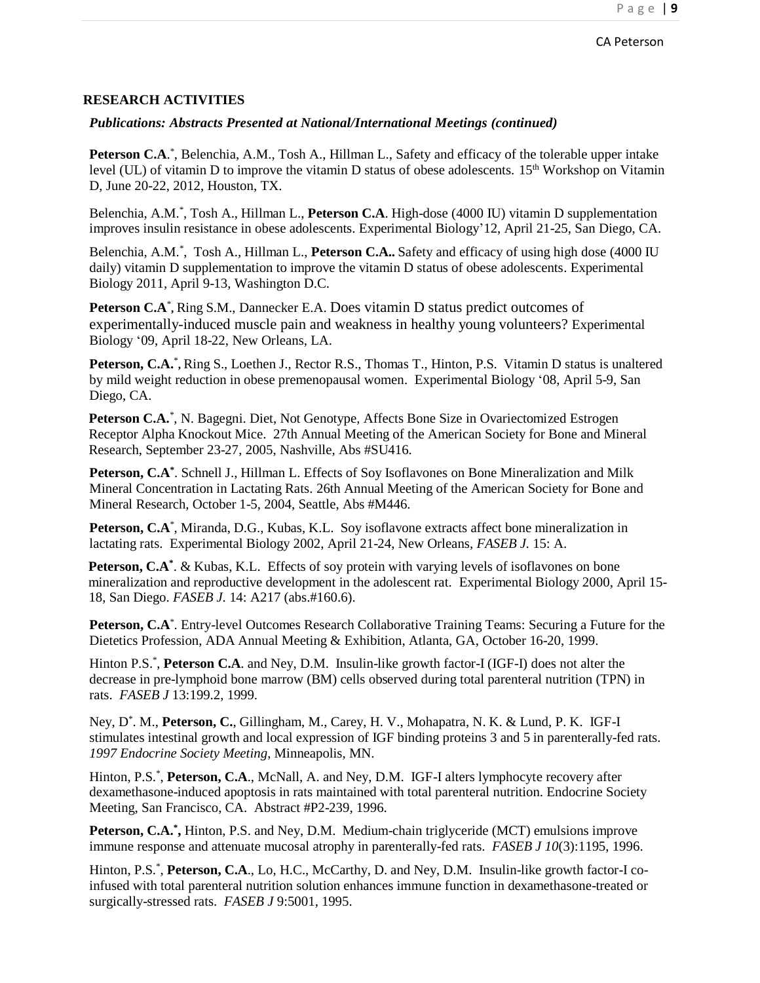## *Publications: Abstracts Presented at National/International Meetings (continued)*

Peterson C.A.<sup>\*</sup>, Belenchia, A.M., Tosh A., Hillman L., Safety and efficacy of the tolerable upper intake level (UL) of vitamin D to improve the vitamin D status of obese adolescents. 15<sup>th</sup> Workshop on Vitamin D, June 20-22, 2012, Houston, TX.

Belenchia, A.M.\* , Tosh A., Hillman L., **Peterson C.A**. High-dose (4000 IU) vitamin D supplementation improves insulin resistance in obese adolescents. Experimental Biology'12, April 21-25, San Diego, CA.

Belenchia, A.M.<sup>\*</sup>, Tosh A., Hillman L., **Peterson C.A..** Safety and efficacy of using high dose (4000 IU daily) vitamin D supplementation to improve the vitamin D status of obese adolescents. Experimental Biology 2011, April 9-13, Washington D.C.

**Peterson C.A**\* **,** Ring S.M., Dannecker E.A. Does vitamin D status predict outcomes of experimentally-induced muscle pain and weakness in healthy young volunteers? Experimental Biology '09, April 18-22, New Orleans, LA.

Peterson, C.A.\*, Ring S., Loethen J., Rector R.S., Thomas T., Hinton, P.S. Vitamin D status is unaltered by mild weight reduction in obese premenopausal women. Experimental Biology '08, April 5-9, San Diego, CA.

Peterson C.A.<sup>\*</sup>, N. Bagegni. Diet, Not Genotype, Affects Bone Size in Ovariectomized Estrogen Receptor Alpha Knockout Mice. 27th Annual Meeting of the American Society for Bone and Mineral Research, September 23-27, 2005, Nashville, Abs #SU416.

**Peterson, C.A\*** . Schnell J., Hillman L. Effects of Soy Isoflavones on Bone Mineralization and Milk Mineral Concentration in Lactating Rats. 26th Annual Meeting of the American Society for Bone and Mineral Research, October 1-5, 2004, Seattle, Abs #M446.

Peterson, C.A<sup>\*</sup>, Miranda, D.G., Kubas, K.L. Soy isoflavone extracts affect bone mineralization in lactating rats. Experimental Biology 2002, April 21-24, New Orleans, *FASEB J.* 15: A.

Peterson, C.A<sup>\*</sup>. & Kubas, K.L. Effects of soy protein with varying levels of isoflavones on bone mineralization and reproductive development in the adolescent rat. Experimental Biology 2000, April 15- 18, San Diego. *FASEB J.* 14: A217 (abs.#160.6).

Peterson, C.A<sup>\*</sup>. Entry-level Outcomes Research Collaborative Training Teams: Securing a Future for the Dietetics Profession, ADA Annual Meeting & Exhibition, Atlanta, GA, October 16-20, 1999.

Hinton P.S.\* , **Peterson C.A**. and Ney, D.M. Insulin-like growth factor-I (IGF-I) does not alter the decrease in pre-lymphoid bone marrow (BM) cells observed during total parenteral nutrition (TPN) in rats. *FASEB J* 13:199.2, 1999.

Ney, D\* . M., **Peterson, C.**, Gillingham, M., Carey, H. V., Mohapatra, N. K. & Lund, P. K. IGF-I stimulates intestinal growth and local expression of IGF binding proteins 3 and 5 in parenterally-fed rats. *1997 Endocrine Society Meeting*, Minneapolis, MN.

Hinton, P.S.<sup>\*</sup>, Peterson, C.A., McNall, A. and Ney, D.M. IGF-I alters lymphocyte recovery after dexamethasone-induced apoptosis in rats maintained with total parenteral nutrition. Endocrine Society Meeting, San Francisco, CA. Abstract #P2-239, 1996.

Peterson, C.A.<sup>\*</sup>, Hinton, P.S. and Ney, D.M. Medium-chain triglyceride (MCT) emulsions improve immune response and attenuate mucosal atrophy in parenterally-fed rats. *FASEB J 10*(3):1195, 1996.

Hinton, P.S.<sup>\*</sup>, Peterson, C.A., Lo, H.C., McCarthy, D. and Ney, D.M. Insulin-like growth factor-I coinfused with total parenteral nutrition solution enhances immune function in dexamethasone-treated or surgically-stressed rats. *FASEB J* 9:5001, 1995.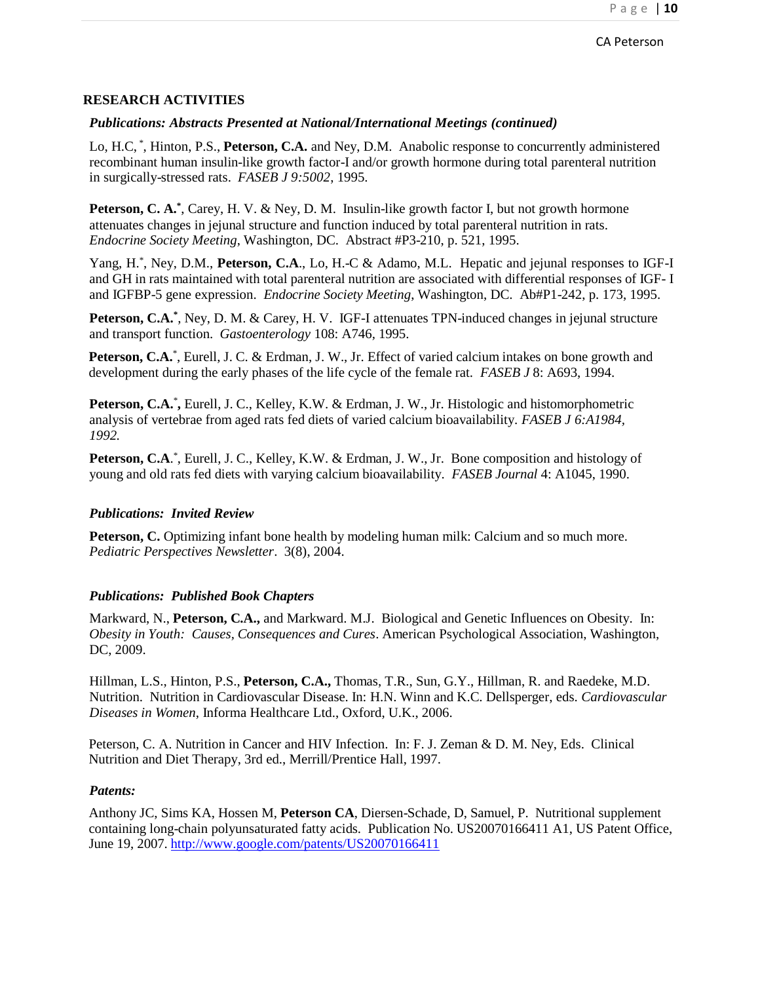## *Publications: Abstracts Presented at National/International Meetings (continued)*

Lo, H.C, \* , Hinton, P.S., **Peterson, C.A.** and Ney, D.M. Anabolic response to concurrently administered recombinant human insulin-like growth factor-I and/or growth hormone during total parenteral nutrition in surgically-stressed rats. *FASEB J 9:5002*, 1995.

**Peterson, C. A.**<sup>\*</sup>, Carey, H. V. & Ney, D. M. Insulin-like growth factor I, but not growth hormone attenuates changes in jejunal structure and function induced by total parenteral nutrition in rats. *Endocrine Society Meeting*, Washington, DC. Abstract #P3-210, p. 521, 1995.

Yang, H.<sup>\*</sup>, Ney, D.M., Peterson, C.A., Lo, H.-C & Adamo, M.L. Hepatic and jejunal responses to IGF-I and GH in rats maintained with total parenteral nutrition are associated with differential responses of IGF- I and IGFBP-5 gene expression. *Endocrine Society Meeting*, Washington, DC. Ab#P1-242, p. 173, 1995.

Peterson, C.A.<sup>\*</sup>, Ney, D. M. & Carey, H. V. IGF-I attenuates TPN-induced changes in jejunal structure and transport function. *Gastoenterology* 108: A746*,* 1995.

Peterson, C.A.<sup>\*</sup>, Eurell, J. C. & Erdman, J. W., Jr. Effect of varied calcium intakes on bone growth and development during the early phases of the life cycle of the female rat. *FASEB J* 8: A693, 1994.

Peterson, C.A.<sup>\*</sup>, Eurell, J. C., Kelley, K.W. & Erdman, J. W., Jr. Histologic and histomorphometric analysis of vertebrae from aged rats fed diets of varied calcium bioavailability*. FASEB J 6:A1984, 1992.*

Peterson, C.A.<sup>\*</sup>, Eurell, J. C., Kelley, K.W. & Erdman, J. W., Jr. Bone composition and histology of young and old rats fed diets with varying calcium bioavailability. *FASEB Journal* 4: A1045, 1990.

#### *Publications: Invited Review*

**Peterson, C.** Optimizing infant bone health by modeling human milk: Calcium and so much more*. Pediatric Perspectives Newsletter*. 3(8), 2004.

#### *Publications: Published Book Chapters*

Markward, N., **Peterson, C.A.,** and Markward. M.J. Biological and Genetic Influences on Obesity. In: *Obesity in Youth: Causes, Consequences and Cures*. American Psychological Association, Washington, DC, 2009.

Hillman, L.S., Hinton, P.S., **Peterson, C.A.,** Thomas, T.R., Sun, G.Y., Hillman, R. and Raedeke, M.D. Nutrition. Nutrition in Cardiovascular Disease. In: H.N. Winn and K.C. Dellsperger, eds. *Cardiovascular Diseases in Women*, Informa Healthcare Ltd., Oxford, U.K., 2006.

Peterson, C. A. Nutrition in Cancer and HIV Infection. In: F. J. Zeman & D. M. Ney, Eds. Clinical Nutrition and Diet Therapy, 3rd ed., Merrill/Prentice Hall, 1997.

#### *Patents:*

Anthony JC, Sims KA, Hossen M, **Peterson CA**, Diersen-Schade, D, Samuel, P. Nutritional supplement containing long-chain polyunsaturated fatty acids. Publication No. US20070166411 A1, US Patent Office, June 19, 2007. <http://www.google.com/patents/US20070166411>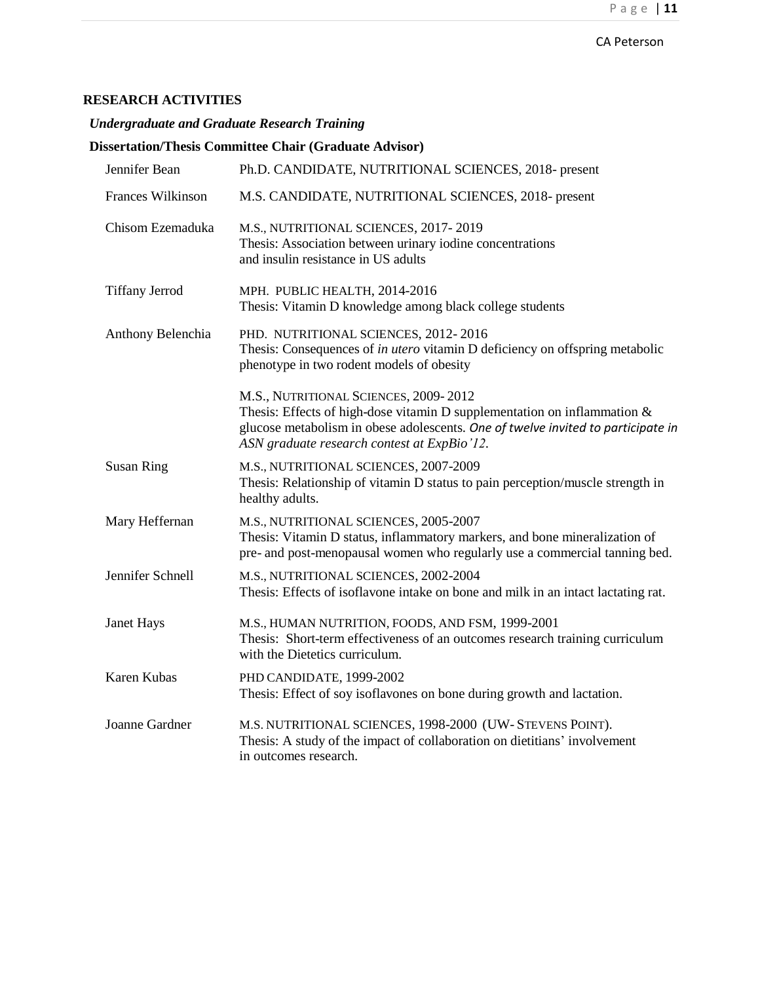*Undergraduate and Graduate Research Training*

|                       | <b>Dissertation/Thesis Committee Chair (Graduate Advisor)</b>                                                                                                                                                                                           |
|-----------------------|---------------------------------------------------------------------------------------------------------------------------------------------------------------------------------------------------------------------------------------------------------|
| Jennifer Bean         | Ph.D. CANDIDATE, NUTRITIONAL SCIENCES, 2018- present                                                                                                                                                                                                    |
| Frances Wilkinson     | M.S. CANDIDATE, NUTRITIONAL SCIENCES, 2018- present                                                                                                                                                                                                     |
| Chisom Ezemaduka      | M.S., NUTRITIONAL SCIENCES, 2017-2019<br>Thesis: Association between urinary iodine concentrations<br>and insulin resistance in US adults                                                                                                               |
| <b>Tiffany Jerrod</b> | MPH. PUBLIC HEALTH, 2014-2016<br>Thesis: Vitamin D knowledge among black college students                                                                                                                                                               |
| Anthony Belenchia     | PHD. NUTRITIONAL SCIENCES, 2012-2016<br>Thesis: Consequences of in utero vitamin D deficiency on offspring metabolic<br>phenotype in two rodent models of obesity                                                                                       |
|                       | M.S., NUTRITIONAL SCIENCES, 2009-2012<br>Thesis: Effects of high-dose vitamin D supplementation on inflammation $\&$<br>glucose metabolism in obese adolescents. One of twelve invited to participate in<br>ASN graduate research contest at ExpBio'12. |
| <b>Susan Ring</b>     | M.S., NUTRITIONAL SCIENCES, 2007-2009<br>Thesis: Relationship of vitamin D status to pain perception/muscle strength in<br>healthy adults.                                                                                                              |
| Mary Heffernan        | M.S., NUTRITIONAL SCIENCES, 2005-2007<br>Thesis: Vitamin D status, inflammatory markers, and bone mineralization of<br>pre- and post-menopausal women who regularly use a commercial tanning bed.                                                       |
| Jennifer Schnell      | M.S., NUTRITIONAL SCIENCES, 2002-2004<br>Thesis: Effects of isoflavone intake on bone and milk in an intact lactating rat.                                                                                                                              |
| Janet Hays            | M.S., HUMAN NUTRITION, FOODS, AND FSM, 1999-2001<br>Thesis: Short-term effectiveness of an outcomes research training curriculum<br>with the Dietetics curriculum.                                                                                      |
| <b>Karen Kubas</b>    | PHD CANDIDATE, 1999-2002<br>Thesis: Effect of soy isoflavones on bone during growth and lactation.                                                                                                                                                      |
| Joanne Gardner        | M.S. NUTRITIONAL SCIENCES, 1998-2000 (UW- STEVENS POINT).<br>Thesis: A study of the impact of collaboration on dietitians' involvement<br>in outcomes research.                                                                                         |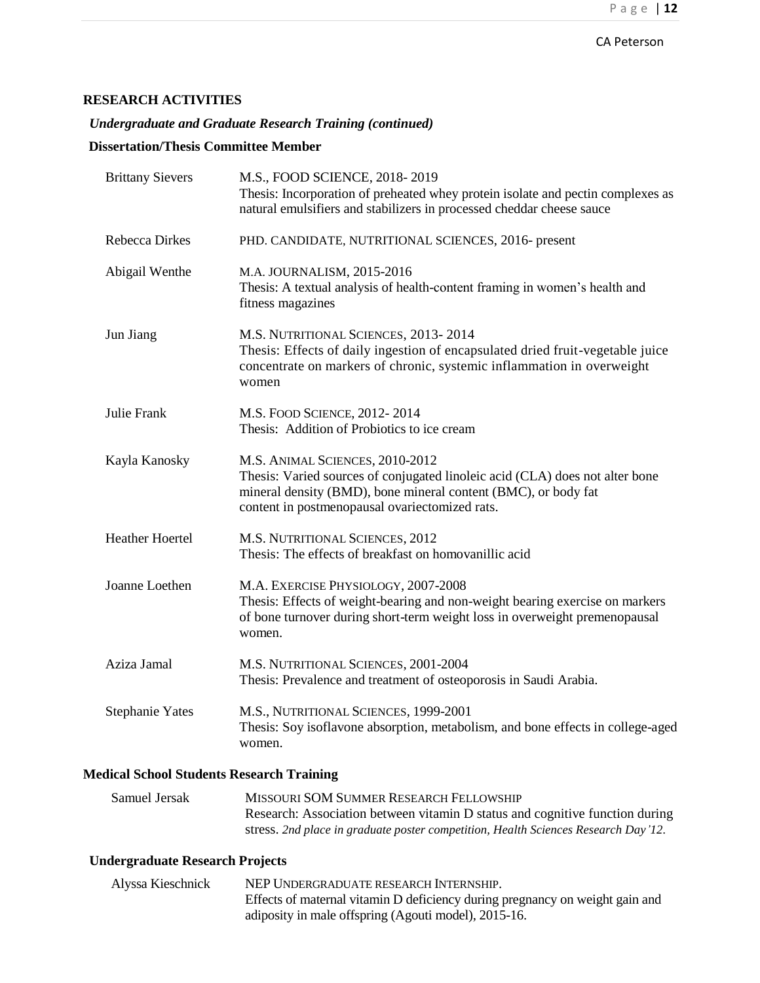*Undergraduate and Graduate Research Training (continued)*

# **Dissertation/Thesis Committee Member**

| <b>Brittany Sievers</b> | M.S., FOOD SCIENCE, 2018-2019<br>Thesis: Incorporation of preheated whey protein isolate and pectin complexes as<br>natural emulsifiers and stabilizers in processed cheddar cheese sauce                                           |
|-------------------------|-------------------------------------------------------------------------------------------------------------------------------------------------------------------------------------------------------------------------------------|
| <b>Rebecca Dirkes</b>   | PHD. CANDIDATE, NUTRITIONAL SCIENCES, 2016- present                                                                                                                                                                                 |
| Abigail Wenthe          | M.A. JOURNALISM, 2015-2016<br>Thesis: A textual analysis of health-content framing in women's health and<br>fitness magazines                                                                                                       |
| Jun Jiang               | M.S. NUTRITIONAL SCIENCES, 2013-2014<br>Thesis: Effects of daily ingestion of encapsulated dried fruit-vegetable juice<br>concentrate on markers of chronic, systemic inflammation in overweight<br>women                           |
| Julie Frank             | M.S. FOOD SCIENCE, 2012-2014<br>Thesis: Addition of Probiotics to ice cream                                                                                                                                                         |
| Kayla Kanosky           | M.S. ANIMAL SCIENCES, 2010-2012<br>Thesis: Varied sources of conjugated linoleic acid (CLA) does not alter bone<br>mineral density (BMD), bone mineral content (BMC), or body fat<br>content in postmenopausal ovariectomized rats. |
| <b>Heather Hoertel</b>  | M.S. NUTRITIONAL SCIENCES, 2012<br>Thesis: The effects of breakfast on homovanillic acid                                                                                                                                            |
| Joanne Loethen          | M.A. EXERCISE PHYSIOLOGY, 2007-2008<br>Thesis: Effects of weight-bearing and non-weight bearing exercise on markers<br>of bone turnover during short-term weight loss in overweight premenopausal<br>women.                         |
| Aziza Jamal             | M.S. NUTRITIONAL SCIENCES, 2001-2004<br>Thesis: Prevalence and treatment of osteoporosis in Saudi Arabia.                                                                                                                           |
| <b>Stephanie Yates</b>  | M.S., NUTRITIONAL SCIENCES, 1999-2001<br>Thesis: Soy isoflavone absorption, metabolism, and bone effects in college-aged<br>women.                                                                                                  |
|                         |                                                                                                                                                                                                                                     |

### **Medical School Students Research Training**

| Samuel Jersak | MISSOURI SOM SUMMER RESEARCH FELLOWSHIP                                            |
|---------------|------------------------------------------------------------------------------------|
|               | Research: Association between vitamin D status and cognitive function during       |
|               | stress. 2nd place in graduate poster competition, Health Sciences Research Day'12. |

# **Undergraduate Research Projects**

| Alyssa Kieschnick | NEP UNDERGRADUATE RESEARCH INTERNSHIP.                                       |
|-------------------|------------------------------------------------------------------------------|
|                   | Effects of maternal vitamin D deficiency during pregnancy on weight gain and |
|                   | adiposity in male offspring (Agouti model), 2015-16.                         |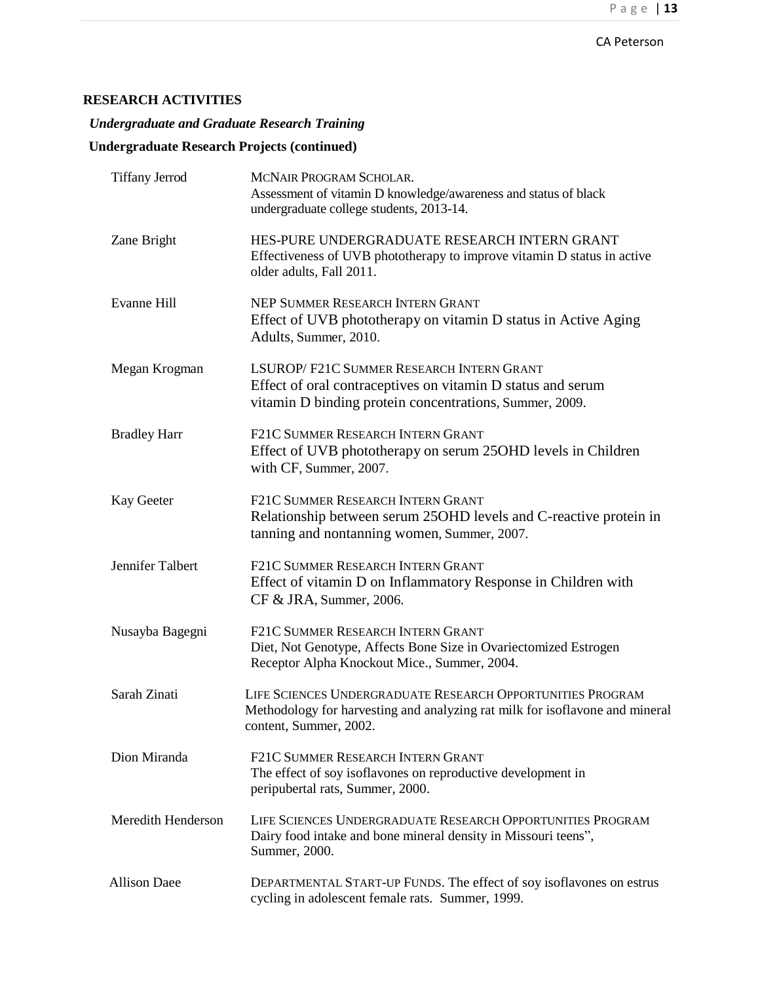*Undergraduate and Graduate Research Training* 

# **Undergraduate Research Projects (continued)**

| <b>Tiffany Jerrod</b>     | MCNAIR PROGRAM SCHOLAR.<br>Assessment of vitamin D knowledge/awareness and status of black<br>undergraduate college students, 2013-14.                               |
|---------------------------|----------------------------------------------------------------------------------------------------------------------------------------------------------------------|
| Zane Bright               | HES-PURE UNDERGRADUATE RESEARCH INTERN GRANT<br>Effectiveness of UVB phototherapy to improve vitamin D status in active<br>older adults, Fall 2011.                  |
| <b>Evanne Hill</b>        | NEP SUMMER RESEARCH INTERN GRANT<br>Effect of UVB phototherapy on vitamin D status in Active Aging<br>Adults, Summer, 2010.                                          |
| Megan Krogman             | LSUROP/F21C SUMMER RESEARCH INTERN GRANT<br>Effect of oral contraceptives on vitamin D status and serum<br>vitamin D binding protein concentrations, Summer, 2009.   |
| <b>Bradley Harr</b>       | F21C SUMMER RESEARCH INTERN GRANT<br>Effect of UVB phototherapy on serum 25OHD levels in Children<br>with CF, Summer, 2007.                                          |
| Kay Geeter                | F21C SUMMER RESEARCH INTERN GRANT<br>Relationship between serum 25 OHD levels and C-reactive protein in<br>tanning and nontanning women, Summer, 2007.               |
| Jennifer Talbert          | F21C SUMMER RESEARCH INTERN GRANT<br>Effect of vitamin D on Inflammatory Response in Children with<br>CF & JRA, Summer, 2006.                                        |
| Nusayba Bagegni           | F21C SUMMER RESEARCH INTERN GRANT<br>Diet, Not Genotype, Affects Bone Size in Ovariectomized Estrogen<br>Receptor Alpha Knockout Mice., Summer, 2004.                |
| Sarah Zinati              | LIFE SCIENCES UNDERGRADUATE RESEARCH OPPORTUNITIES PROGRAM<br>Methodology for harvesting and analyzing rat milk for isoflavone and mineral<br>content, Summer, 2002. |
| Dion Miranda              | F21C SUMMER RESEARCH INTERN GRANT<br>The effect of soy isoflavones on reproductive development in<br>peripubertal rats, Summer, 2000.                                |
| <b>Meredith Henderson</b> | LIFE SCIENCES UNDERGRADUATE RESEARCH OPPORTUNITIES PROGRAM<br>Dairy food intake and bone mineral density in Missouri teens",<br>Summer, 2000.                        |
| <b>Allison Daee</b>       | DEPARTMENTAL START-UP FUNDS. The effect of soy isoflavones on estrus<br>cycling in adolescent female rats. Summer, 1999.                                             |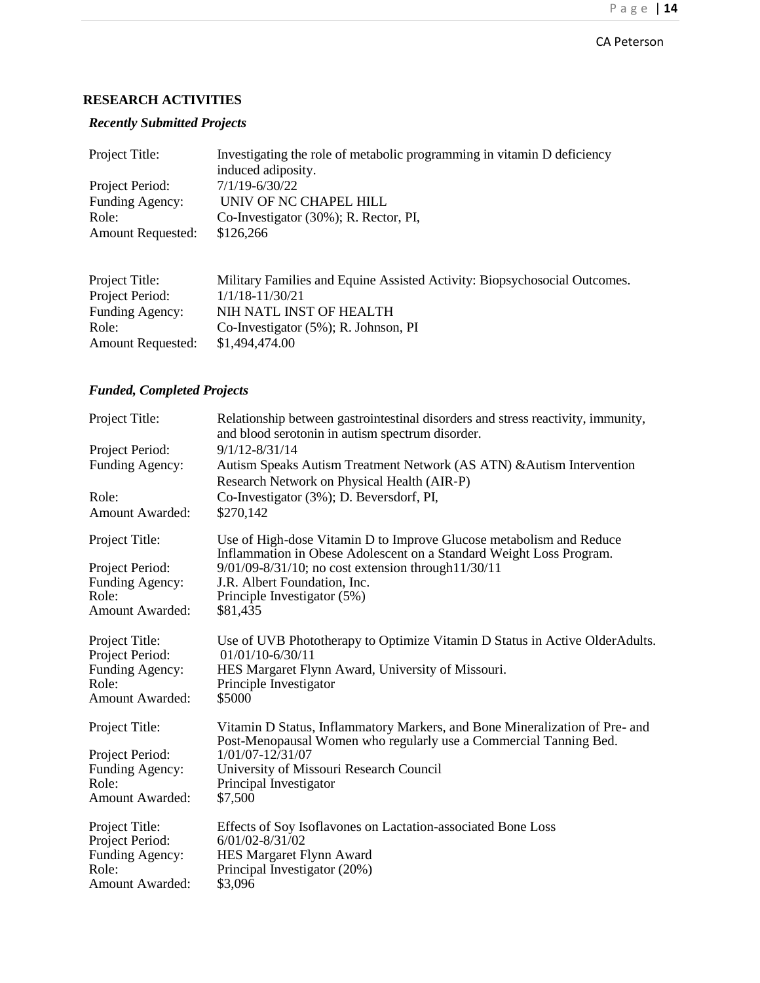## *Recently Submitted Projects*

| Project Title:           | Investigating the role of metabolic programming in vitamin D deficiency |
|--------------------------|-------------------------------------------------------------------------|
|                          | induced adiposity.                                                      |
| Project Period:          | $7/1/19 - 6/30/22$                                                      |
| Funding Agency:          | UNIV OF NC CHAPEL HILL                                                  |
| Role:                    | Co-Investigator (30%); R. Rector, PI,                                   |
| <b>Amount Requested:</b> | \$126,266                                                               |
|                          |                                                                         |
|                          |                                                                         |

| Project Title:           | Military Families and Equine Assisted Activity: Biopsychosocial Outcomes. |
|--------------------------|---------------------------------------------------------------------------|
| Project Period:          | $1/1/18 - 11/30/21$                                                       |
| Funding Agency:          | NIH NATL INST OF HEALTH                                                   |
| Role:                    | Co-Investigator $(5\%)$ ; R. Johnson, PI                                  |
| <b>Amount Requested:</b> | \$1,494,474.00                                                            |

# *Funded, Completed Projects*

| Project Title:           | Relationship between gastrointestinal disorders and stress reactivity, immunity,<br>and blood serotonin in autism spectrum disorder.             |
|--------------------------|--------------------------------------------------------------------------------------------------------------------------------------------------|
| Project Period:          | $9/1/12 - 8/31/14$                                                                                                                               |
| Funding Agency:          | Autism Speaks Autism Treatment Network (AS ATN) & Autism Intervention<br>Research Network on Physical Health (AIR-P)                             |
| Role:                    | Co-Investigator (3%); D. Beversdorf, PI,                                                                                                         |
| <b>Amount Awarded:</b>   | \$270,142                                                                                                                                        |
| Project Title:           | Use of High-dose Vitamin D to Improve Glucose metabolism and Reduce<br>Inflammation in Obese Adolescent on a Standard Weight Loss Program.       |
| Project Period:          | 9/01/09-8/31/10; no cost extension through 11/30/11                                                                                              |
| Funding Agency:          | J.R. Albert Foundation, Inc.                                                                                                                     |
| Role:                    | Principle Investigator (5%)                                                                                                                      |
| <b>Amount Awarded:</b>   | \$81,435                                                                                                                                         |
| Project Title:           | Use of UVB Phototherapy to Optimize Vitamin D Status in Active OlderAdults.                                                                      |
| Project Period:          | $01/01/10 - 6/30/11$                                                                                                                             |
| Funding Agency:<br>Role: | HES Margaret Flynn Award, University of Missouri.                                                                                                |
| <b>Amount Awarded:</b>   | Principle Investigator<br>\$5000                                                                                                                 |
|                          |                                                                                                                                                  |
| Project Title:           | Vitamin D Status, Inflammatory Markers, and Bone Mineralization of Pre- and<br>Post-Menopausal Women who regularly use a Commercial Tanning Bed. |
| Project Period:          | 1/01/07-12/31/07                                                                                                                                 |
| Funding Agency:          | University of Missouri Research Council                                                                                                          |
| Role:                    | Principal Investigator                                                                                                                           |
| <b>Amount Awarded:</b>   | \$7,500                                                                                                                                          |
| Project Title:           | Effects of Soy Isoflavones on Lactation-associated Bone Loss                                                                                     |
| Project Period:          | $6/01/02 - 8/31/02$                                                                                                                              |
| Funding Agency:          | HES Margaret Flynn Award                                                                                                                         |
| Role:                    | Principal Investigator (20%)                                                                                                                     |
| Amount Awarded:          | \$3,096                                                                                                                                          |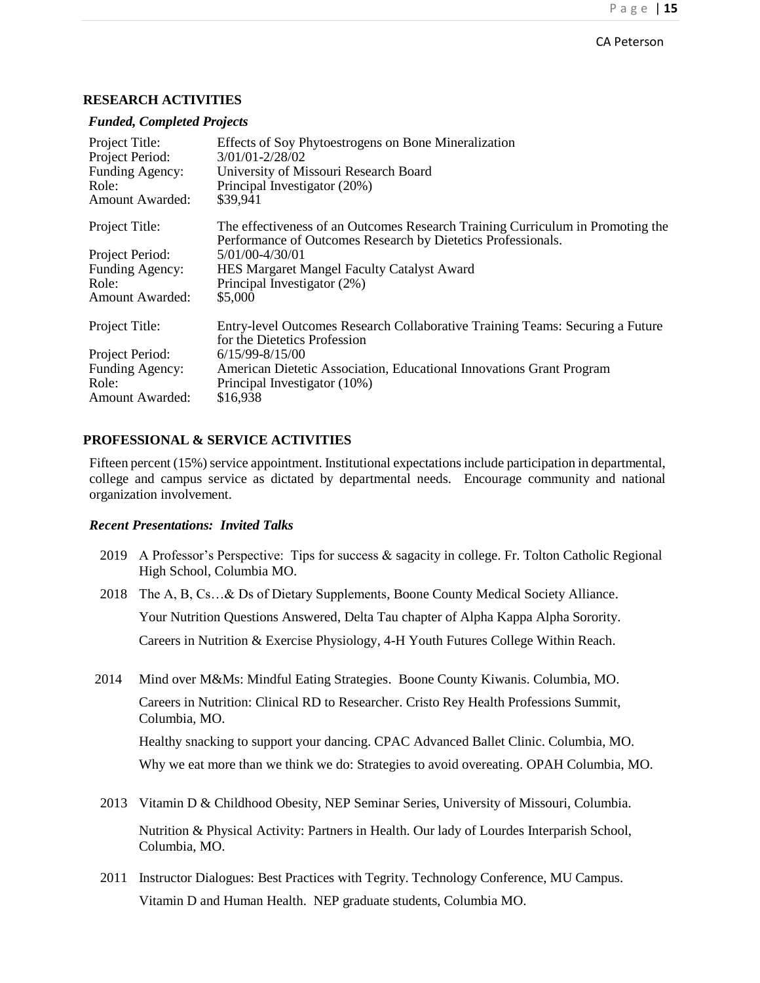#### *Funded, Completed Projects*

| Project Title:<br>Project Period:<br>Funding Agency:<br>Role:<br><b>Amount Awarded:</b> | Effects of Soy Phytoestrogens on Bone Mineralization<br>3/01/01-2/28/02<br>University of Missouri Research Board<br>Principal Investigator (20%)<br>\$39.941 |
|-----------------------------------------------------------------------------------------|--------------------------------------------------------------------------------------------------------------------------------------------------------------|
| Project Title:                                                                          | The effectiveness of an Outcomes Research Training Curriculum in Promoting the<br>Performance of Outcomes Research by Dietetics Professionals.               |
| Project Period:                                                                         | 5/01/00-4/30/01                                                                                                                                              |
| Funding Agency:                                                                         | <b>HES Margaret Mangel Faculty Catalyst Award</b>                                                                                                            |
| Role:                                                                                   | Principal Investigator (2%)                                                                                                                                  |
| <b>Amount Awarded:</b>                                                                  | \$5,000                                                                                                                                                      |
| Project Title:                                                                          | Entry-level Outcomes Research Collaborative Training Teams: Securing a Future<br>for the Dietetics Profession                                                |
| Project Period:                                                                         | $6/15/99 - 8/15/00$                                                                                                                                          |
| Funding Agency:                                                                         | American Dietetic Association, Educational Innovations Grant Program                                                                                         |
| Role:                                                                                   | Principal Investigator (10%)                                                                                                                                 |
| <b>Amount Awarded:</b>                                                                  | \$16,938                                                                                                                                                     |

#### **PROFESSIONAL & SERVICE ACTIVITIES**

Fifteen percent (15%) service appointment. Institutional expectations include participation in departmental, college and campus service as dictated by departmental needs. Encourage community and national organization involvement.

### *Recent Presentations: Invited Talks*

- 2019 A Professor's Perspective: Tips for success & sagacity in college. Fr. Tolton Catholic Regional High School, Columbia MO.
- 2018 The A, B, Cs…& Ds of Dietary Supplements, Boone County Medical Society Alliance. Your Nutrition Questions Answered, Delta Tau chapter of Alpha Kappa Alpha Sorority. Careers in Nutrition & Exercise Physiology, 4-H Youth Futures College Within Reach.
- 2014 Mind over M&Ms: Mindful Eating Strategies. Boone County Kiwanis. Columbia, MO. Careers in Nutrition: Clinical RD to Researcher. Cristo Rey Health Professions Summit, Columbia, MO.

Healthy snacking to support your dancing. CPAC Advanced Ballet Clinic. Columbia, MO. Why we eat more than we think we do: Strategies to avoid overeating. OPAH Columbia, MO.

- 2013 Vitamin D & Childhood Obesity, NEP Seminar Series, University of Missouri, Columbia. Nutrition & Physical Activity: Partners in Health. Our lady of Lourdes Interparish School, Columbia, MO.
- 2011 Instructor Dialogues: Best Practices with Tegrity. Technology Conference, MU Campus. Vitamin D and Human Health. NEP graduate students, Columbia MO.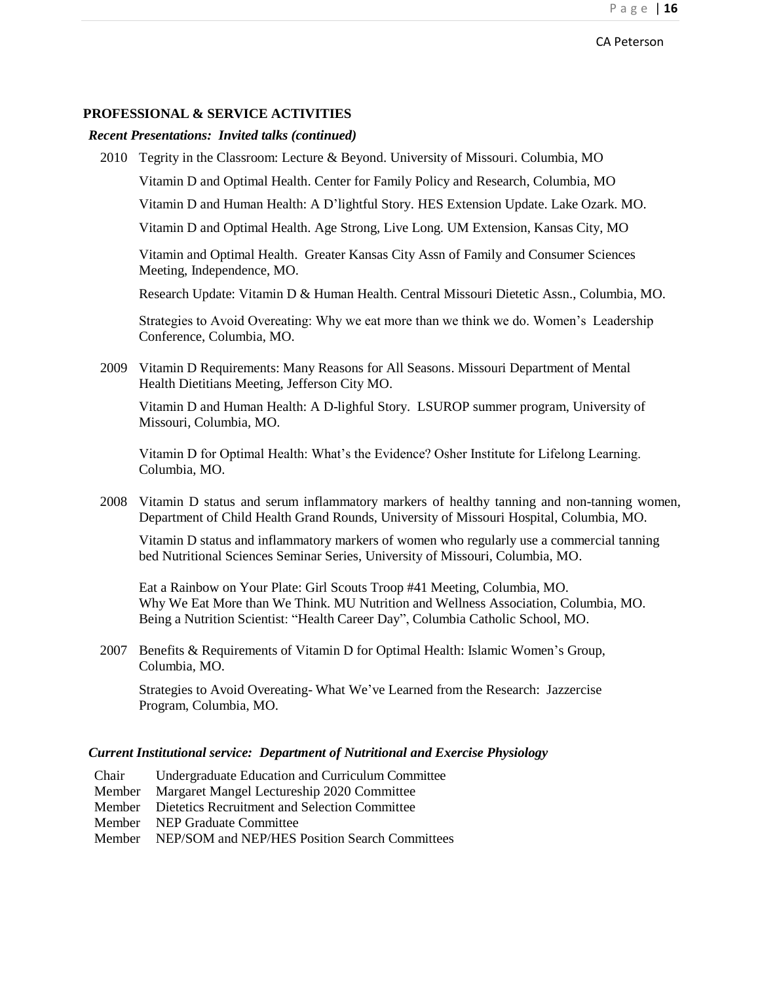#### **PROFESSIONAL & SERVICE ACTIVITIES**

#### *Recent Presentations: Invited talks (continued)*

2010 Tegrity in the Classroom: Lecture & Beyond. University of Missouri. Columbia, MO

Vitamin D and Optimal Health. Center for Family Policy and Research, Columbia, MO

Vitamin D and Human Health: A D'lightful Story. HES Extension Update. Lake Ozark. MO.

Vitamin D and Optimal Health. Age Strong, Live Long. UM Extension, Kansas City, MO

Vitamin and Optimal Health. Greater Kansas City Assn of Family and Consumer Sciences Meeting, Independence, MO.

Research Update: Vitamin D & Human Health. Central Missouri Dietetic Assn., Columbia, MO.

Strategies to Avoid Overeating: Why we eat more than we think we do. Women's Leadership Conference, Columbia, MO.

2009 Vitamin D Requirements: Many Reasons for All Seasons. Missouri Department of Mental Health Dietitians Meeting, Jefferson City MO.

Vitamin D and Human Health: A D-lighful Story. LSUROP summer program, University of Missouri, Columbia, MO.

Vitamin D for Optimal Health: What's the Evidence? Osher Institute for Lifelong Learning. Columbia, MO.

2008 Vitamin D status and serum inflammatory markers of healthy tanning and non-tanning women, Department of Child Health Grand Rounds, University of Missouri Hospital, Columbia, MO.

Vitamin D status and inflammatory markers of women who regularly use a commercial tanning bed Nutritional Sciences Seminar Series, University of Missouri, Columbia, MO.

Eat a Rainbow on Your Plate: Girl Scouts Troop #41 Meeting, Columbia, MO. Why We Eat More than We Think. MU Nutrition and Wellness Association, Columbia, MO. Being a Nutrition Scientist: "Health Career Day", Columbia Catholic School, MO.

2007 Benefits & Requirements of Vitamin D for Optimal Health: Islamic Women's Group, Columbia, MO.

Strategies to Avoid Overeating- What We've Learned from the Research: Jazzercise Program, Columbia, MO.

#### *Current Institutional service: Department of Nutritional and Exercise Physiology*

- Chair Undergraduate Education and Curriculum Committee
- Member Margaret Mangel Lectureship 2020 Committee
- Member Dietetics Recruitment and Selection Committee
- Member NEP Graduate Committee
- Member NEP/SOM and NEP/HES Position Search Committees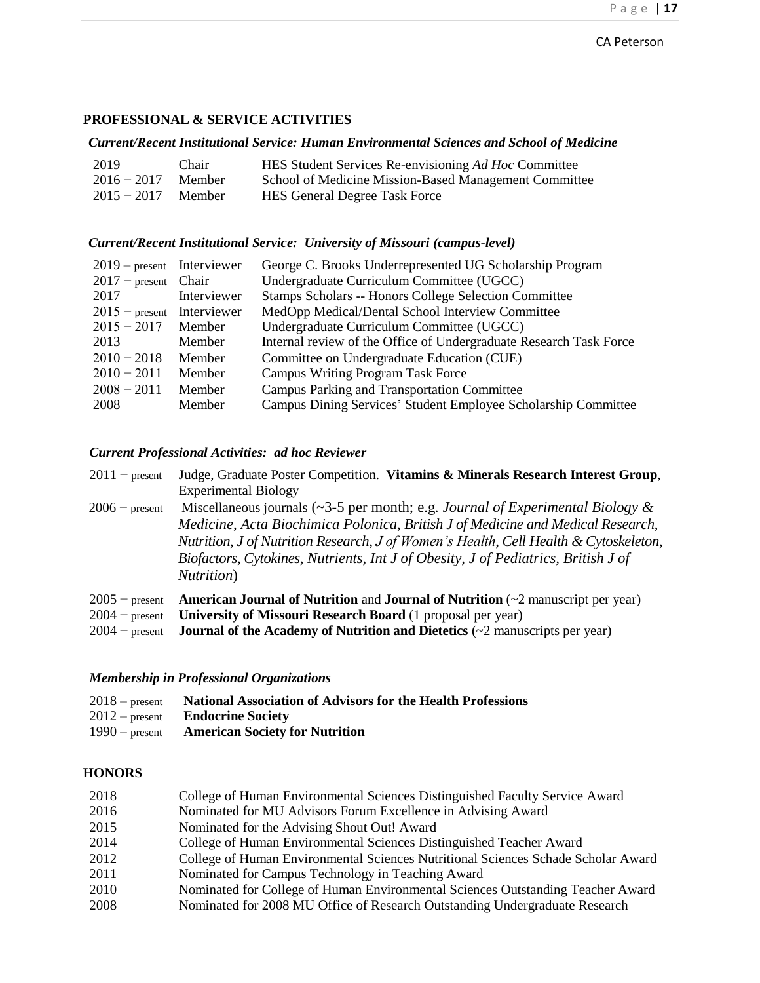## **PROFESSIONAL & SERVICE ACTIVITIES**

#### *Current/Recent Institutional Service: Human Environmental Sciences and School of Medicine*

| 2019                 | Chair  | HES Student Services Re-envisioning Ad Hoc Committee  |
|----------------------|--------|-------------------------------------------------------|
| $2016 - 2017$        | Member | School of Medicine Mission-Based Management Committee |
| $2015 - 2017$ Member |        | <b>HES General Degree Task Force</b>                  |

#### *Current/Recent Institutional Service: University of Missouri (campus-level)*

| $2019$ – present Interviewer |             | George C. Brooks Underrepresented UG Scholarship Program           |
|------------------------------|-------------|--------------------------------------------------------------------|
| $2017$ – present Chair       |             | Undergraduate Curriculum Committee (UGCC)                          |
| 2017                         | Interviewer | Stamps Scholars -- Honors College Selection Committee              |
| $2015$ – present Interviewer |             | MedOpp Medical/Dental School Interview Committee                   |
| $2015 - 2017$                | Member      | Undergraduate Curriculum Committee (UGCC)                          |
| 2013                         | Member      | Internal review of the Office of Undergraduate Research Task Force |
| $2010 - 2018$                | Member      | Committee on Undergraduate Education (CUE)                         |
| $2010 - 2011$                | Member      | <b>Campus Writing Program Task Force</b>                           |
| $2008 - 2011$                | Member      | Campus Parking and Transportation Committee                        |
| 2008                         | Member      | Campus Dining Services' Student Employee Scholarship Committee     |

## *Current Professional Activities: ad hoc Reviewer*

|                  |                             | $2011$ – present Judge, Graduate Poster Competition. Vitamins & Minerals Research Interest Group, |
|------------------|-----------------------------|---------------------------------------------------------------------------------------------------|
|                  | <b>Experimental Biology</b> |                                                                                                   |
| $2006$ – procent |                             | Miscellaneous journals ( $\approx 3.5$ per month: e.g. Lournal of Experimental Riology &          |

2006 − present Miscellaneous journals (~3-5 per month; e.g. *Journal of Experimental Biology & Medicine*, *Acta Biochimica Polonica*, *British J of Medicine and Medical Research*, *Nutrition*, *J of Nutrition Research*, *J of Women's Health*, *Cell Health & Cytoskeleton*, *Biofactors*, *Cytokines*, *Nutrients, Int J of Obesity, J of Pediatrics, British J of Nutrition*)

| $2005$ – present <b>American Journal of Nutrition</b> and <b>Journal of Nutrition</b> ( $\sim$ 2 manuscript per year) |
|-----------------------------------------------------------------------------------------------------------------------|
| $2004$ – present University of Missouri Research Board (1 proposal per year)                                          |
| $2004$ – present <b>Journal of the Academy of Nutrition and Dietetics</b> ( $\sim$ 2 manuscripts per year)            |

### *Membership in Professional Organizations*

| $2018$ – present | <b>National Association of Advisors for the Health Professions</b> |
|------------------|--------------------------------------------------------------------|
|                  | $2012$ – present <b>Endocrine Society</b>                          |
|                  | $1990$ – present <b>American Society for Nutrition</b>             |

## **HONORS**

| 2018 | College of Human Environmental Sciences Distinguished Faculty Service Award       |
|------|-----------------------------------------------------------------------------------|
| 2016 | Nominated for MU Advisors Forum Excellence in Advising Award                      |
| 2015 | Nominated for the Advising Shout Out! Award                                       |
| 2014 | College of Human Environmental Sciences Distinguished Teacher Award               |
| 2012 | College of Human Environmental Sciences Nutritional Sciences Schade Scholar Award |
| 2011 | Nominated for Campus Technology in Teaching Award                                 |
| 2010 | Nominated for College of Human Environmental Sciences Outstanding Teacher Award   |
| 2008 | Nominated for 2008 MU Office of Research Outstanding Undergraduate Research       |